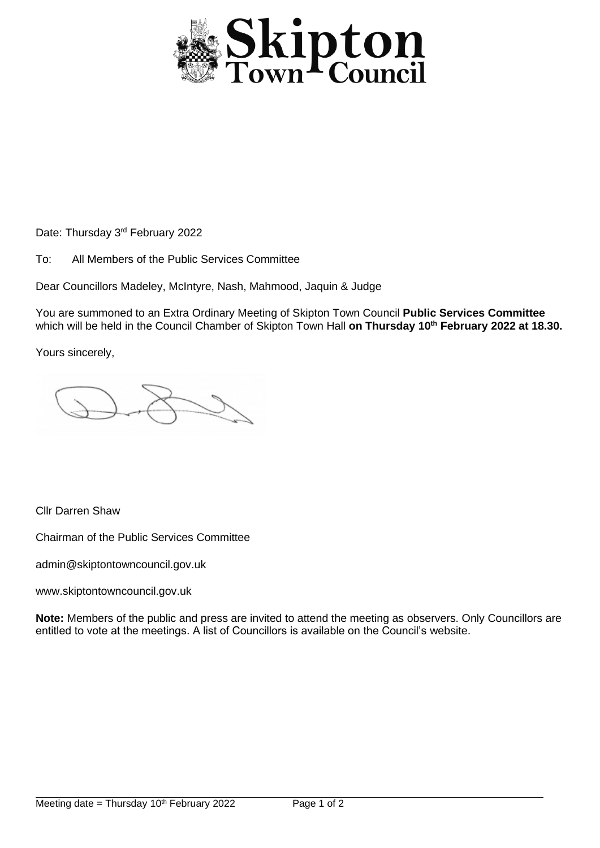

Date: Thursday 3<sup>rd</sup> February 2022

To: All Members of the Public Services Committee

Dear Councillors Madeley, McIntyre, Nash, Mahmood, Jaquin & Judge

You are summoned to an Extra Ordinary Meeting of Skipton Town Council **Public Services Committee**  which will be held in the Council Chamber of Skipton Town Hall **on Thursday 10th February 2022 at 18.30.**

Yours sincerely,

Cllr Darren Shaw

Chairman of the Public Services Committee

admin@skiptontowncouncil.gov.uk

www.skiptontowncouncil.gov.uk

**Note:** Members of the public and press are invited to attend the meeting as observers. Only Councillors are entitled to vote at the meetings. A list of Councillors is available on the Council's website.

j.